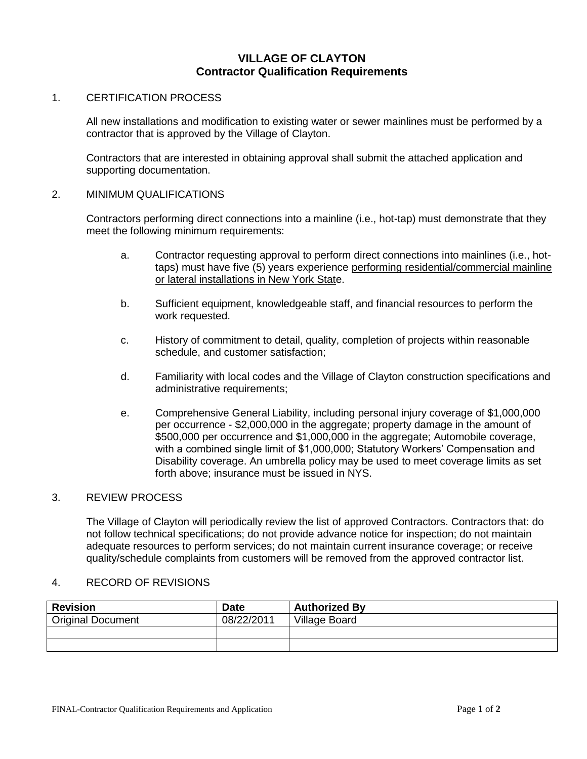# **VILLAGE OF CLAYTON Contractor Qualification Requirements**

#### 1. CERTIFICATION PROCESS

All new installations and modification to existing water or sewer mainlines must be performed by a contractor that is approved by the Village of Clayton.

Contractors that are interested in obtaining approval shall submit the attached application and supporting documentation.

#### 2. MINIMUM QUALIFICATIONS

Contractors performing direct connections into a mainline (i.e., hot-tap) must demonstrate that they meet the following minimum requirements:

- a. Contractor requesting approval to perform direct connections into mainlines (i.e., hottaps) must have five (5) years experience performing residential/commercial mainline or lateral installations in New York State.
- b. Sufficient equipment, knowledgeable staff, and financial resources to perform the work requested.
- c. History of commitment to detail, quality, completion of projects within reasonable schedule, and customer satisfaction;
- d. Familiarity with local codes and the Village of Clayton construction specifications and administrative requirements;
- e. Comprehensive General Liability, including personal injury coverage of \$1,000,000 per occurrence - \$2,000,000 in the aggregate; property damage in the amount of \$500,000 per occurrence and \$1,000,000 in the aggregate; Automobile coverage, with a combined single limit of \$1,000,000; Statutory Workers' Compensation and Disability coverage. An umbrella policy may be used to meet coverage limits as set forth above; insurance must be issued in NYS.

## 3. REVIEW PROCESS

The Village of Clayton will periodically review the list of approved Contractors. Contractors that: do not follow technical specifications; do not provide advance notice for inspection; do not maintain adequate resources to perform services; do not maintain current insurance coverage; or receive quality/schedule complaints from customers will be removed from the approved contractor list.

#### 4. RECORD OF REVISIONS

| <b>Revision</b>          | <b>Date</b> | <b>Authorized By</b> |
|--------------------------|-------------|----------------------|
| <b>Original Document</b> | 08/22/2011  | Village Board        |
|                          |             |                      |
|                          |             |                      |